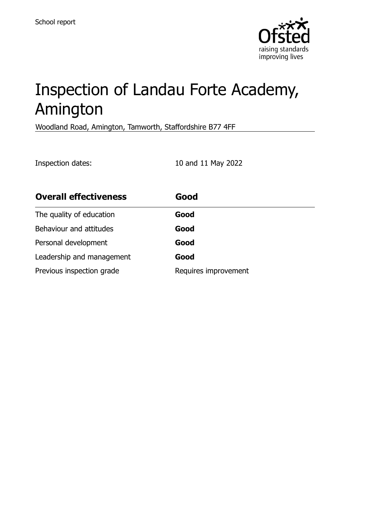

# Inspection of Landau Forte Academy, Amington

Woodland Road, Amington, Tamworth, Staffordshire B77 4FF

Inspection dates: 10 and 11 May 2022 **Overall effectiveness Good** The quality of education **Good** Behaviour and attitudes **Good** Personal development **Good** Leadership and management **Good** Previous inspection grade Requires improvement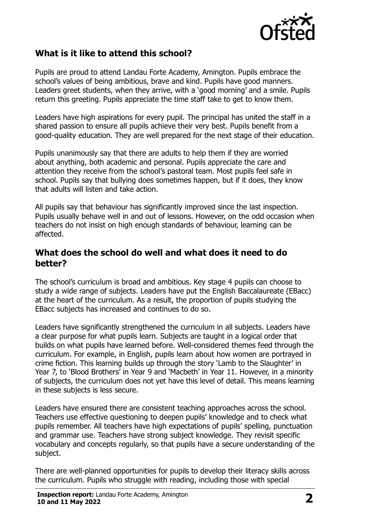

# **What is it like to attend this school?**

Pupils are proud to attend Landau Forte Academy, Amington. Pupils embrace the school's values of being ambitious, brave and kind. Pupils have good manners. Leaders greet students, when they arrive, with a 'good morning' and a smile. Pupils return this greeting. Pupils appreciate the time staff take to get to know them.

Leaders have high aspirations for every pupil. The principal has united the staff in a shared passion to ensure all pupils achieve their very best. Pupils benefit from a good-quality education. They are well prepared for the next stage of their education.

Pupils unanimously say that there are adults to help them if they are worried about anything, both academic and personal. Pupils appreciate the care and attention they receive from the school's pastoral team. Most pupils feel safe in school. Pupils say that bullying does sometimes happen, but if it does, they know that adults will listen and take action.

All pupils say that behaviour has significantly improved since the last inspection. Pupils usually behave well in and out of lessons. However, on the odd occasion when teachers do not insist on high enough standards of behaviour, learning can be affected.

#### **What does the school do well and what does it need to do better?**

The school's curriculum is broad and ambitious. Key stage 4 pupils can choose to study a wide range of subjects. Leaders have put the English Baccalaureate (EBacc) at the heart of the curriculum. As a result, the proportion of pupils studying the EBacc subjects has increased and continues to do so.

Leaders have significantly strengthened the curriculum in all subjects. Leaders have a clear purpose for what pupils learn. Subjects are taught in a logical order that builds on what pupils have learned before. Well-considered themes feed through the curriculum. For example, in English, pupils learn about how women are portrayed in crime fiction. This learning builds up through the story 'Lamb to the Slaughter' in Year 7, to 'Blood Brothers' in Year 9 and 'Macbeth' in Year 11. However, in a minority of subjects, the curriculum does not yet have this level of detail. This means learning in these subjects is less secure.

Leaders have ensured there are consistent teaching approaches across the school. Teachers use effective questioning to deepen pupils' knowledge and to check what pupils remember. All teachers have high expectations of pupils' spelling, punctuation and grammar use. Teachers have strong subject knowledge. They revisit specific vocabulary and concepts regularly, so that pupils have a secure understanding of the subject.

There are well-planned opportunities for pupils to develop their literacy skills across the curriculum. Pupils who struggle with reading, including those with special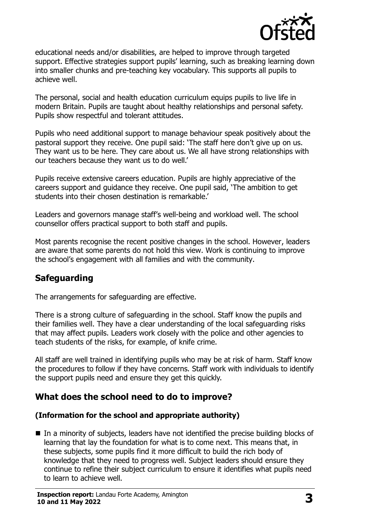

educational needs and/or disabilities, are helped to improve through targeted support. Effective strategies support pupils' learning, such as breaking learning down into smaller chunks and pre-teaching key vocabulary. This supports all pupils to achieve well.

The personal, social and health education curriculum equips pupils to live life in modern Britain. Pupils are taught about healthy relationships and personal safety. Pupils show respectful and tolerant attitudes.

Pupils who need additional support to manage behaviour speak positively about the pastoral support they receive. One pupil said: 'The staff here don't give up on us. They want us to be here. They care about us. We all have strong relationships with our teachers because they want us to do well.'

Pupils receive extensive careers education. Pupils are highly appreciative of the careers support and guidance they receive. One pupil said, 'The ambition to get students into their chosen destination is remarkable.'

Leaders and governors manage staff's well-being and workload well. The school counsellor offers practical support to both staff and pupils.

Most parents recognise the recent positive changes in the school. However, leaders are aware that some parents do not hold this view. Work is continuing to improve the school's engagement with all families and with the community.

# **Safeguarding**

The arrangements for safeguarding are effective.

There is a strong culture of safeguarding in the school. Staff know the pupils and their families well. They have a clear understanding of the local safeguarding risks that may affect pupils. Leaders work closely with the police and other agencies to teach students of the risks, for example, of knife crime.

All staff are well trained in identifying pupils who may be at risk of harm. Staff know the procedures to follow if they have concerns. Staff work with individuals to identify the support pupils need and ensure they get this quickly.

# **What does the school need to do to improve?**

#### **(Information for the school and appropriate authority)**

■ In a minority of subjects, leaders have not identified the precise building blocks of learning that lay the foundation for what is to come next. This means that, in these subjects, some pupils find it more difficult to build the rich body of knowledge that they need to progress well. Subject leaders should ensure they continue to refine their subject curriculum to ensure it identifies what pupils need to learn to achieve well.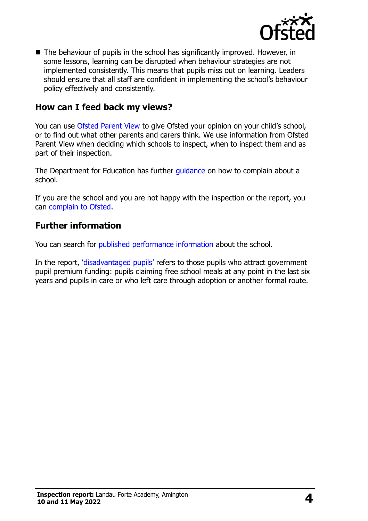

■ The behaviour of pupils in the school has significantly improved. However, in some lessons, learning can be disrupted when behaviour strategies are not implemented consistently. This means that pupils miss out on learning. Leaders should ensure that all staff are confident in implementing the school's behaviour policy effectively and consistently.

### **How can I feed back my views?**

You can use [Ofsted Parent View](http://parentview.ofsted.gov.uk/) to give Ofsted your opinion on your child's school, or to find out what other parents and carers think. We use information from Ofsted Parent View when deciding which schools to inspect, when to inspect them and as part of their inspection.

The Department for Education has further quidance on how to complain about a school.

If you are the school and you are not happy with the inspection or the report, you can [complain to Ofsted.](http://www.gov.uk/complain-ofsted-report)

### **Further information**

You can search for [published performance information](http://www.compare-school-performance.service.gov.uk/) about the school.

In the report, '[disadvantaged pupils](http://www.gov.uk/guidance/pupil-premium-information-for-schools-and-alternative-provision-settings)' refers to those pupils who attract government pupil premium funding: pupils claiming free school meals at any point in the last six years and pupils in care or who left care through adoption or another formal route.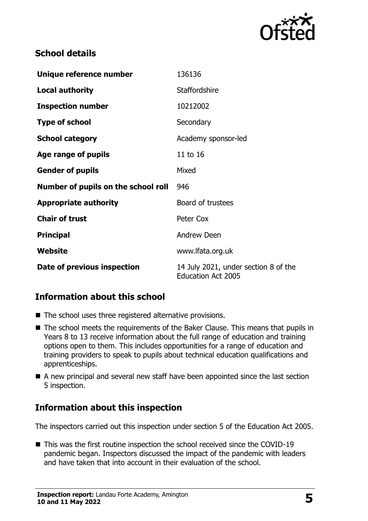

# **School details**

| Unique reference number             | 136136                                                            |
|-------------------------------------|-------------------------------------------------------------------|
| <b>Local authority</b>              | <b>Staffordshire</b>                                              |
| <b>Inspection number</b>            | 10212002                                                          |
| <b>Type of school</b>               | Secondary                                                         |
| <b>School category</b>              | Academy sponsor-led                                               |
| Age range of pupils                 | 11 to 16                                                          |
| <b>Gender of pupils</b>             | Mixed                                                             |
| Number of pupils on the school roll | 946                                                               |
| <b>Appropriate authority</b>        | Board of trustees                                                 |
| <b>Chair of trust</b>               | Peter Cox                                                         |
| <b>Principal</b>                    | <b>Andrew Deen</b>                                                |
| Website                             | www.lfata.org.uk                                                  |
| Date of previous inspection         | 14 July 2021, under section 8 of the<br><b>Education Act 2005</b> |

# **Information about this school**

- The school uses three registered alternative provisions.
- The school meets the requirements of the Baker Clause. This means that pupils in Years 8 to 13 receive information about the full range of education and training options open to them. This includes opportunities for a range of education and training providers to speak to pupils about technical education qualifications and apprenticeships.
- A new principal and several new staff have been appointed since the last section 5 inspection.

# **Information about this inspection**

The inspectors carried out this inspection under section 5 of the Education Act 2005.

■ This was the first routine inspection the school received since the COVID-19 pandemic began. Inspectors discussed the impact of the pandemic with leaders and have taken that into account in their evaluation of the school.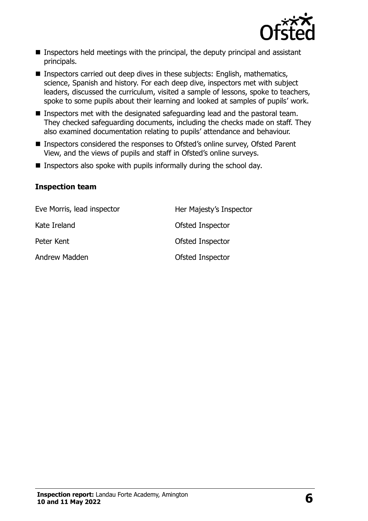

- $\blacksquare$  Inspectors held meetings with the principal, the deputy principal and assistant principals.
- Inspectors carried out deep dives in these subjects: English, mathematics, science, Spanish and history. For each deep dive, inspectors met with subject leaders, discussed the curriculum, visited a sample of lessons, spoke to teachers, spoke to some pupils about their learning and looked at samples of pupils' work.
- Inspectors met with the designated safeguarding lead and the pastoral team. They checked safeguarding documents, including the checks made on staff. They also examined documentation relating to pupils' attendance and behaviour.
- Inspectors considered the responses to Ofsted's online survey, Ofsted Parent View, and the views of pupils and staff in Ofsted's online surveys.
- $\blacksquare$  Inspectors also spoke with pupils informally during the school day.

#### **Inspection team**

| Eve Morris, lead inspector | Her Majesty's Inspector |
|----------------------------|-------------------------|
| Kate Ireland               | Ofsted Inspector        |
| Peter Kent                 | Ofsted Inspector        |
| Andrew Madden              | Ofsted Inspector        |